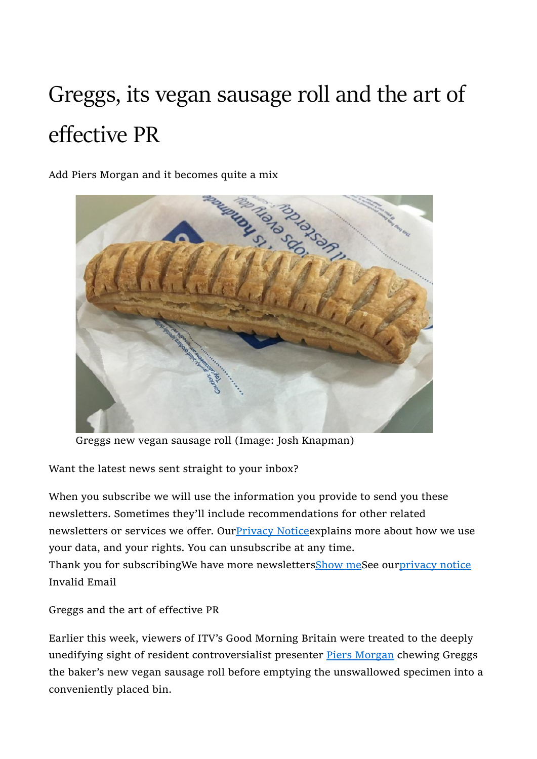## Greggs, its vegan sausage roll and the art of effective PR

Add Piers Morgan and it becomes quite a mix



Greggs new vegan sausage roll (Image: Josh Knapman)

Want the latest news sent straight to your inbox?

When you subscribe we will use the information you provide to send you these newsletters. Sometimes they'll include recommendations for other related newsletters or services we offer. Our Privacy Notice explains more about how we use your data, and your rights. You can unsubscribe at any time.

Thank you for subscribingWe have more newslettersShow meSee ourprivacy notice Invalid Email

Greggs and the art of effective PR

Earlier this week, viewers of ITV's Good Morning Britain were treated to the deeply unedifying sight of resident controversialist presenter **Piers Morgan** chewing Greggs the baker's new vegan sausage roll before emptying the unswallowed specimen into a conveniently placed bin.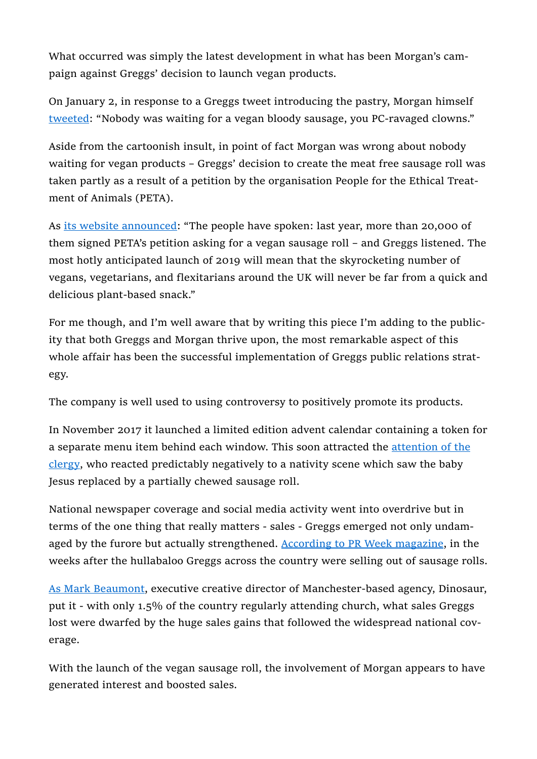What occurred was simply the latest development in what has been Morgan's campaign against Greggs' decision to launch vegan products.

On January 2, in response to a Greggs tweet introducing the pastry, Morgan himself tweeted: "Nobody was waiting for a vegan bloody sausage, you PC-ravaged clowns."

Aside from the cartoonish insult, in point of fact Morgan was wrong about nobody waiting for vegan products – Greggs' decision to create the meat free sausage roll was taken partly as a result of a petition by the organisation People for the Ethical Treatment of Animals (PETA).

As its website announced: "The people have spoken: last year, more than 20,000 of them signed PETA's petition asking for a vegan sausage roll – and Greggs listened. The most hotly anticipated launch of 2019 will mean that the skyrocketing number of vegans, vegetarians, and flexitarians around the UK will never be far from a quick and delicious plant-based snack."

For me though, and I'm well aware that by writing this piece I'm adding to the publicity that both Greggs and Morgan thrive upon, the most remarkable aspect of this whole affair has been the successful implementation of Greggs public relations strategy.

The company is well used to using controversy to positively promote its products.

In November 2017 it launched a limited edition advent calendar containing a token for a separate menu item behind each window. This soon attracted the attention of the clergy, who reacted predictably negatively to a nativity scene which saw the baby Jesus replaced by a partially chewed sausage roll.

National newspaper coverage and social media activity went into overdrive but in terms of the one thing that really matters - sales - Greggs emerged not only undamaged by the furore but actually strengthened. According to PR Week magazine, in the weeks after the hullabaloo Greggs across the country were selling out of sausage rolls.

As Mark Beaumont, executive creative director of Manchester-based agency, Dinosaur, put it - with only 1.5% of the country regularly attending church, what sales Greggs lost were dwarfed by the huge sales gains that followed the widespread national coverage.

With the launch of the vegan sausage roll, the involvement of Morgan appears to have generated interest and boosted sales.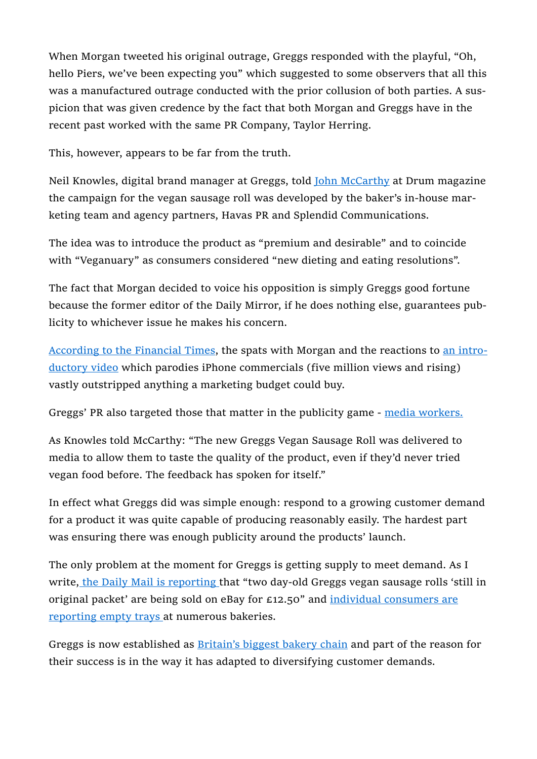When Morgan tweeted his original outrage, Greggs responded with the playful, "Oh, hello Piers, we've been expecting you" which suggested to some observers that all this was a manufactured outrage conducted with the prior collusion of both parties. A suspicion that was given credence by the fact that both Morgan and Greggs have in the recent past worked with the same PR Company, Taylor Herring.

This, however, appears to be far from the truth.

Neil Knowles, digital brand manager at Greggs, told John McCarthy at Drum magazine the campaign for the vegan sausage roll was developed by the baker's in-house marketing team and agency partners, Havas PR and Splendid Communications.

The idea was to introduce the product as "premium and desirable" and to coincide with "Veganuary" as consumers considered "new dieting and eating resolutions".

The fact that Morgan decided to voice his opposition is simply Greggs good fortune because the former editor of the Daily Mirror, if he does nothing else, guarantees publicity to whichever issue he makes his concern.

According to the Financial Times, the spats with Morgan and the reactions to an introductory video which parodies iPhone commercials (five million views and rising) vastly outstripped anything a marketing budget could buy.

Greggs' PR also targeted those that matter in the publicity game - media workers.

As Knowles told McCarthy: "The new Greggs Vegan Sausage Roll was delivered to media to allow them to taste the quality of the product, even if they'd never tried vegan food before. The feedback has spoken for itself."

In effect what Greggs did was simple enough: respond to a growing customer demand for a product it was quite capable of producing reasonably easily. The hardest part was ensuring there was enough publicity around the products' launch.

The only problem at the moment for Greggs is getting supply to meet demand. As I write, the Daily Mail is reporting that "two day-old Greggs vegan sausage rolls 'still in original packet' are being sold on eBay for £12.50" and individual consumers are reporting empty trays at numerous bakeries.

Greggs is now established as Britain's biggest bakery chain and part of the reason for their success is in the way it has adapted to diversifying customer demands.